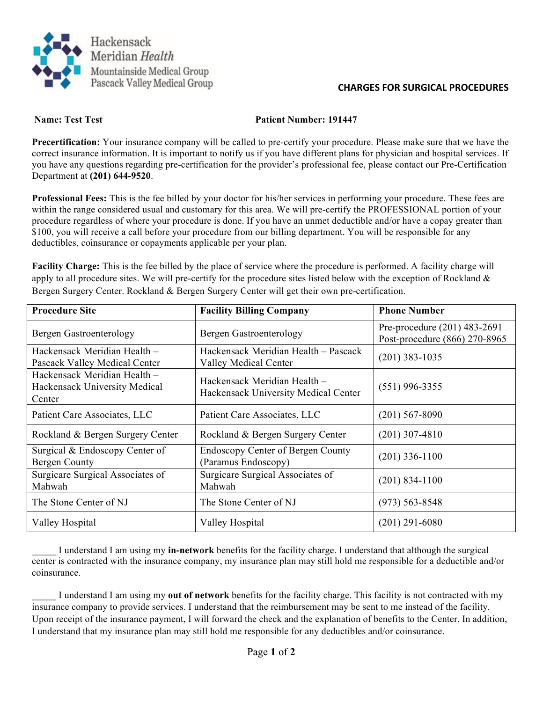

## **CHARGES FOR SURGICAL PROCEDURES**

## **Name: Test Test Patient Number: 191447**

**Precertification:** Your insurance company will be called to pre-certify your procedure. Please make sure that we have the correct insurance information. It is important to notify us if you have different plans for physician and hospital services. If you have any questions regarding pre-certification for the provider's professional fee, please contact our Pre-Certification Department at **(201) 644-9520**.

**Professional Fees:** This is the fee billed by your doctor for his/her services in performing your procedure. These fees are within the range considered usual and customary for this area. We will pre-certify the PROFESSIONAL portion of your procedure regardless of where your procedure is done. If you have an unmet deductible and/or have a copay greater than \$100, you will receive a call before your procedure from our billing department. You will be responsible for any deductibles, coinsurance or copayments applicable per your plan.

**Facility Charge:** This is the fee billed by the place of service where the procedure is performed. A facility charge will apply to all procedure sites. We will pre-certify for the procedure sites listed below with the exception of Rockland  $\&$ Bergen Surgery Center. Rockland & Bergen Surgery Center will get their own pre-certification.

| <b>Procedure Site</b>                                                   | <b>Facility Billing Company</b>                                      | <b>Phone Number</b>                                           |
|-------------------------------------------------------------------------|----------------------------------------------------------------------|---------------------------------------------------------------|
| <b>Bergen Gastroenterology</b>                                          | Bergen Gastroenterology                                              | Pre-procedure (201) 483-2691<br>Post-procedure (866) 270-8965 |
| Hackensack Meridian Health -<br>Pascack Valley Medical Center           | Hackensack Meridian Health - Pascack<br><b>Valley Medical Center</b> | $(201)$ 383-1035                                              |
| Hackensack Meridian Health –<br>Hackensack University Medical<br>Center | Hackensack Meridian Health –<br>Hackensack University Medical Center | $(551)$ 996-3355                                              |
| Patient Care Associates, LLC                                            | Patient Care Associates, LLC                                         | $(201)$ 567-8090                                              |
| Rockland & Bergen Surgery Center                                        | Rockland & Bergen Surgery Center                                     | $(201)$ 307-4810                                              |
| Surgical & Endoscopy Center of<br><b>Bergen County</b>                  | <b>Endoscopy Center of Bergen County</b><br>(Paramus Endoscopy)      | $(201)$ 336-1100                                              |
| Surgicare Surgical Associates of<br>Mahwah                              | Surgicare Surgical Associates of<br>Mahwah                           | $(201)$ 834-1100                                              |
| The Stone Center of NJ                                                  | The Stone Center of NJ                                               | $(973) 563 - 8548$                                            |
| Valley Hospital                                                         | Valley Hospital                                                      | $(201)$ 291-6080                                              |

\_\_\_\_\_ I understand I am using my **in-network** benefits for the facility charge. I understand that although the surgical center is contracted with the insurance company, my insurance plan may still hold me responsible for a deductible and/or coinsurance.

\_\_\_\_\_ I understand I am using my **out of network** benefits for the facility charge. This facility is not contracted with my insurance company to provide services. I understand that the reimbursement may be sent to me instead of the facility. Upon receipt of the insurance payment, I will forward the check and the explanation of benefits to the Center. In addition, I understand that my insurance plan may still hold me responsible for any deductibles and/or coinsurance.